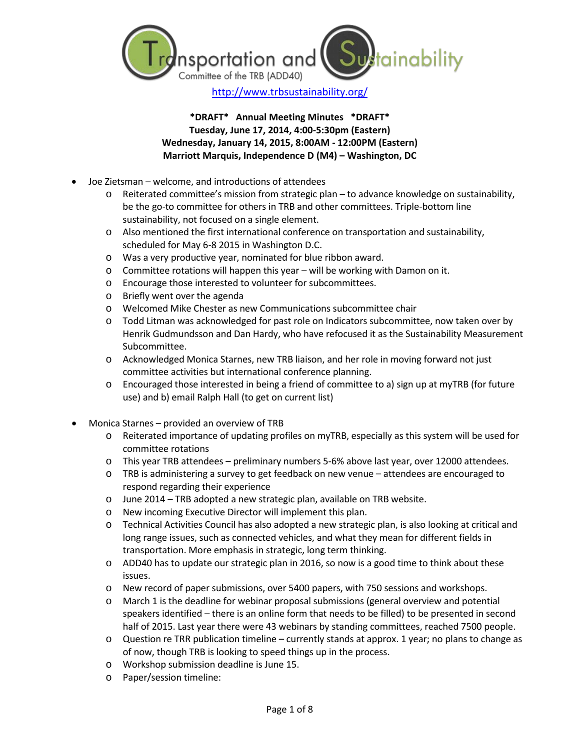

<http://www.trbsustainability.org/>

# **\*DRAFT\* Annual Meeting Minutes \*DRAFT\* Tuesday, June 17, 2014, 4:00-5:30pm (Eastern) Wednesday, January 14, 2015, 8:00AM - 12:00PM (Eastern) Marriott Marquis, Independence D (M4) – Washington, DC**

- Joe Zietsman welcome, and introductions of attendees
	- o Reiterated committee's mission from strategic plan to advance knowledge on sustainability, be the go-to committee for others in TRB and other committees. Triple-bottom line sustainability, not focused on a single element.
	- o Also mentioned the first international conference on transportation and sustainability, scheduled for May 6-8 2015 in Washington D.C.
	- o Was a very productive year, nominated for blue ribbon award.
	- o Committee rotations will happen this year will be working with Damon on it.
	- o Encourage those interested to volunteer for subcommittees.
	- o Briefly went over the agenda
	- o Welcomed Mike Chester as new Communications subcommittee chair
	- o Todd Litman was acknowledged for past role on Indicators subcommittee, now taken over by Henrik Gudmundsson and Dan Hardy, who have refocused it as the Sustainability Measurement Subcommittee.
	- o Acknowledged Monica Starnes, new TRB liaison, and her role in moving forward not just committee activities but international conference planning.
	- o Encouraged those interested in being a friend of committee to a) sign up at myTRB (for future use) and b) email Ralph Hall (to get on current list)
- Monica Starnes provided an overview of TRB
	- o Reiterated importance of updating profiles on myTRB, especially as this system will be used for committee rotations
	- o This year TRB attendees preliminary numbers 5-6% above last year, over 12000 attendees.
	- o TRB is administering a survey to get feedback on new venue attendees are encouraged to respond regarding their experience
	- o June 2014 TRB adopted a new strategic plan, available on TRB website.
	- o New incoming Executive Director will implement this plan.
	- o Technical Activities Council has also adopted a new strategic plan, is also looking at critical and long range issues, such as connected vehicles, and what they mean for different fields in transportation. More emphasis in strategic, long term thinking.
	- o ADD40 has to update our strategic plan in 2016, so now is a good time to think about these issues.
	- o New record of paper submissions, over 5400 papers, with 750 sessions and workshops.
	- March 1 is the deadline for webinar proposal submissions (general overview and potential speakers identified – there is an online form that needs to be filled) to be presented in second half of 2015. Last year there were 43 webinars by standing committees, reached 7500 people.
	- o Question re TRR publication timeline currently stands at approx. 1 year; no plans to change as of now, though TRB is looking to speed things up in the process.
	- o Workshop submission deadline is June 15.
	- o Paper/session timeline: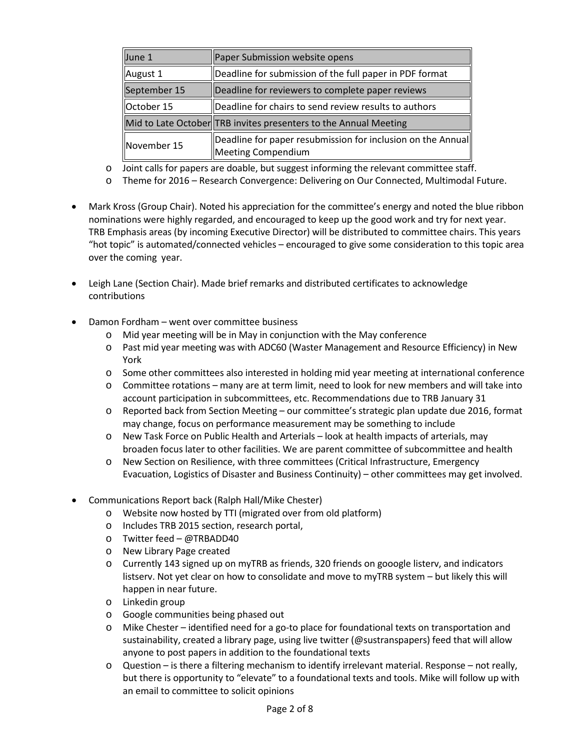| June 1       | Paper Submission website opens                                                    |
|--------------|-----------------------------------------------------------------------------------|
| August 1     | Deadline for submission of the full paper in PDF format                           |
| September 15 | Deadline for reviewers to complete paper reviews                                  |
| October 15   | Deadline for chairs to send review results to authors                             |
|              | Mid to Late October TRB invites presenters to the Annual Meeting                  |
| November 15  | Deadline for paper resubmission for inclusion on the Annual<br>Meeting Compendium |

o Joint calls for papers are doable, but suggest informing the relevant committee staff.

- o Theme for 2016 Research Convergence: Delivering on Our Connected, Multimodal Future.
- Mark Kross (Group Chair). Noted his appreciation for the committee's energy and noted the blue ribbon nominations were highly regarded, and encouraged to keep up the good work and try for next year. TRB Emphasis areas (by incoming Executive Director) will be distributed to committee chairs. This years "hot topic" is automated/connected vehicles – encouraged to give some consideration to this topic area over the coming year.
- Leigh Lane (Section Chair). Made brief remarks and distributed certificates to acknowledge contributions
- Damon Fordham went over committee business
	- o Mid year meeting will be in May in conjunction with the May conference
	- o Past mid year meeting was with ADC60 (Waster Management and Resource Efficiency) in New York
	- o Some other committees also interested in holding mid year meeting at international conference
	- o Committee rotations many are at term limit, need to look for new members and will take into account participation in subcommittees, etc. Recommendations due to TRB January 31
	- o Reported back from Section Meeting our committee's strategic plan update due 2016, format may change, focus on performance measurement may be something to include
	- o New Task Force on Public Health and Arterials look at health impacts of arterials, may broaden focus later to other facilities. We are parent committee of subcommittee and health
	- o New Section on Resilience, with three committees (Critical Infrastructure, Emergency Evacuation, Logistics of Disaster and Business Continuity) – other committees may get involved.
- Communications Report back (Ralph Hall/Mike Chester)
	- o Website now hosted by TTI (migrated over from old platform)
	- o Includes TRB 2015 section, research portal,
	- o Twitter feed @TRBADD40
	- o New Library Page created
	- o Currently 143 signed up on myTRB as friends, 320 friends on gooogle listerv, and indicators listserv. Not yet clear on how to consolidate and move to myTRB system – but likely this will happen in near future.
	- o Linkedin group
	- o Google communities being phased out
	- o Mike Chester identified need for a go-to place for foundational texts on transportation and sustainability, created a library page, using live twitter (@sustranspapers) feed that will allow anyone to post papers in addition to the foundational texts
	- o Question is there a filtering mechanism to identify irrelevant material. Response not really, but there is opportunity to "elevate" to a foundational texts and tools. Mike will follow up with an email to committee to solicit opinions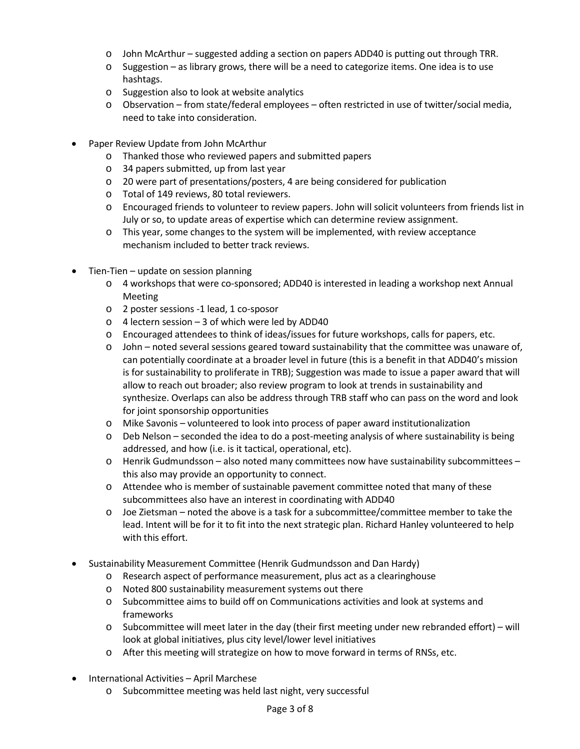- o John McArthur suggested adding a section on papers ADD40 is putting out through TRR.
- $\circ$  Suggestion as library grows, there will be a need to categorize items. One idea is to use hashtags.
- o Suggestion also to look at website analytics
- o Observation from state/federal employees often restricted in use of twitter/social media, need to take into consideration.
- Paper Review Update from John McArthur
	- o Thanked those who reviewed papers and submitted papers
	- o 34 papers submitted, up from last year
	- o 20 were part of presentations/posters, 4 are being considered for publication
	- o Total of 149 reviews, 80 total reviewers.
	- o Encouraged friends to volunteer to review papers. John will solicit volunteers from friends list in July or so, to update areas of expertise which can determine review assignment.
	- o This year, some changes to the system will be implemented, with review acceptance mechanism included to better track reviews.
- Tien-Tien update on session planning
	- o 4 workshops that were co-sponsored; ADD40 is interested in leading a workshop next Annual Meeting
	- o 2 poster sessions -1 lead, 1 co-sposor
	- o 4 lectern session 3 of which were led by ADD40
	- o Encouraged attendees to think of ideas/issues for future workshops, calls for papers, etc.
	- o John noted several sessions geared toward sustainability that the committee was unaware of, can potentially coordinate at a broader level in future (this is a benefit in that ADD40's mission is for sustainability to proliferate in TRB); Suggestion was made to issue a paper award that will allow to reach out broader; also review program to look at trends in sustainability and synthesize. Overlaps can also be address through TRB staff who can pass on the word and look for joint sponsorship opportunities
	- o Mike Savonis volunteered to look into process of paper award institutionalization
	- o Deb Nelson seconded the idea to do a post-meeting analysis of where sustainability is being addressed, and how (i.e. is it tactical, operational, etc).
	- $\circ$  Henrik Gudmundsson also noted many committees now have sustainability subcommittees this also may provide an opportunity to connect.
	- o Attendee who is member of sustainable pavement committee noted that many of these subcommittees also have an interest in coordinating with ADD40
	- o Joe Zietsman noted the above is a task for a subcommittee/committee member to take the lead. Intent will be for it to fit into the next strategic plan. Richard Hanley volunteered to help with this effort.
- Sustainability Measurement Committee (Henrik Gudmundsson and Dan Hardy)
	- o Research aspect of performance measurement, plus act as a clearinghouse
	- o Noted 800 sustainability measurement systems out there
	- o Subcommittee aims to build off on Communications activities and look at systems and frameworks
	- o Subcommittee will meet later in the day (their first meeting under new rebranded effort) will look at global initiatives, plus city level/lower level initiatives
	- o After this meeting will strategize on how to move forward in terms of RNSs, etc.
- International Activities April Marchese
	- o Subcommittee meeting was held last night, very successful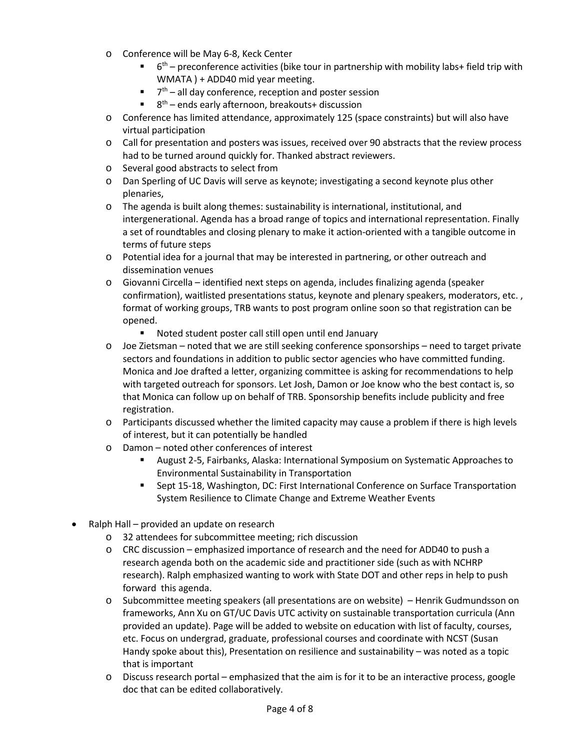- o Conference will be May 6-8, Keck Center
	- $\blacksquare$  6<sup>th</sup> preconference activities (bike tour in partnership with mobility labs+ field trip with WMATA ) + ADD40 mid year meeting.
	- $\blacksquare$   $7<sup>th</sup>$  all day conference, reception and poster session
	- $8<sup>th</sup>$  ends early afternoon, breakouts+ discussion
- o Conference has limited attendance, approximately 125 (space constraints) but will also have virtual participation
- o Call for presentation and posters was issues, received over 90 abstracts that the review process had to be turned around quickly for. Thanked abstract reviewers.
- o Several good abstracts to select from
- o Dan Sperling of UC Davis will serve as keynote; investigating a second keynote plus other plenaries,
- o The agenda is built along themes: sustainability is international, institutional, and intergenerational. Agenda has a broad range of topics and international representation. Finally a set of roundtables and closing plenary to make it action-oriented with a tangible outcome in terms of future steps
- o Potential idea for a journal that may be interested in partnering, or other outreach and dissemination venues
- o Giovanni Circella identified next steps on agenda, includes finalizing agenda (speaker confirmation), waitlisted presentations status, keynote and plenary speakers, moderators, etc. , format of working groups, TRB wants to post program online soon so that registration can be opened.
	- Noted student poster call still open until end January
- o Joe Zietsman noted that we are still seeking conference sponsorships need to target private sectors and foundations in addition to public sector agencies who have committed funding. Monica and Joe drafted a letter, organizing committee is asking for recommendations to help with targeted outreach for sponsors. Let Josh, Damon or Joe know who the best contact is, so that Monica can follow up on behalf of TRB. Sponsorship benefits include publicity and free registration.
- o Participants discussed whether the limited capacity may cause a problem if there is high levels of interest, but it can potentially be handled
- o Damon noted other conferences of interest
	- August 2-5, Fairbanks, Alaska: International Symposium on Systematic Approaches to Environmental Sustainability in Transportation
	- Sept 15-18, Washington, DC: First International Conference on Surface Transportation System Resilience to Climate Change and Extreme Weather Events
- Ralph Hall provided an update on research
	- o 32 attendees for subcommittee meeting; rich discussion
	- o CRC discussion emphasized importance of research and the need for ADD40 to push a research agenda both on the academic side and practitioner side (such as with NCHRP research). Ralph emphasized wanting to work with State DOT and other reps in help to push forward this agenda.
	- o Subcommittee meeting speakers (all presentations are on website) Henrik Gudmundsson on frameworks, Ann Xu on GT/UC Davis UTC activity on sustainable transportation curricula (Ann provided an update). Page will be added to website on education with list of faculty, courses, etc. Focus on undergrad, graduate, professional courses and coordinate with NCST (Susan Handy spoke about this), Presentation on resilience and sustainability – was noted as a topic that is important
	- o Discuss research portal emphasized that the aim is for it to be an interactive process, google doc that can be edited collaboratively.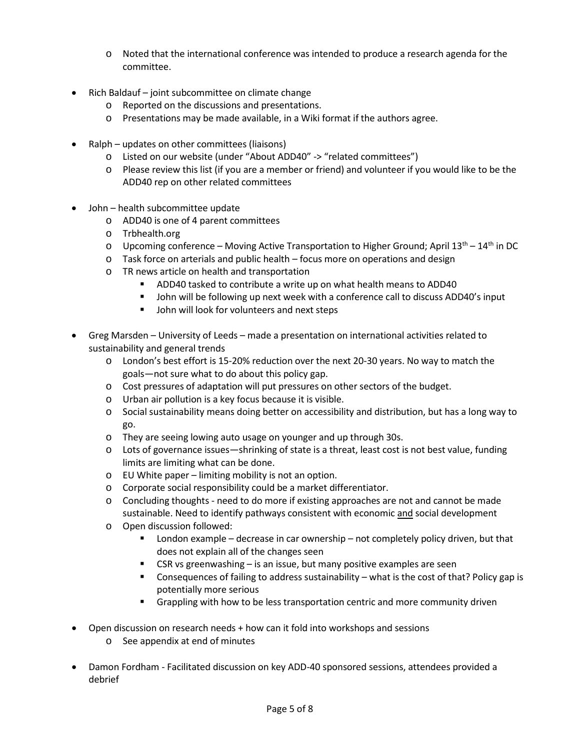- o Noted that the international conference was intended to produce a research agenda for the committee.
- Rich Baldauf joint subcommittee on climate change
	- o Reported on the discussions and presentations.
	- o Presentations may be made available, in a Wiki format if the authors agree.
- Ralph updates on other committees (liaisons)
	- o Listed on our website (under "About ADD40" -> "related committees")
	- o Please review this list (if you are a member or friend) and volunteer if you would like to be the ADD40 rep on other related committees
- John health subcommittee update
	- o ADD40 is one of 4 parent committees
	- o Trbhealth.org
	- $\circ$  Upcoming conference Moving Active Transportation to Higher Ground; April 13<sup>th</sup> 14<sup>th</sup> in DC
	- o Task force on arterials and public health focus more on operations and design
	- o TR news article on health and transportation
		- **ADD40** tasked to contribute a write up on what health means to ADD40
		- John will be following up next week with a conference call to discuss ADD40's input
		- **John will look for volunteers and next steps**
- Greg Marsden University of Leeds made a presentation on international activities related to sustainability and general trends
	- o London's best effort is 15-20% reduction over the next 20-30 years. No way to match the goals—not sure what to do about this policy gap.
	- o Cost pressures of adaptation will put pressures on other sectors of the budget.
	- o Urban air pollution is a key focus because it is visible.
	- o Social sustainability means doing better on accessibility and distribution, but has a long way to go.
	- o They are seeing lowing auto usage on younger and up through 30s.
	- o Lots of governance issues—shrinking of state is a threat, least cost is not best value, funding limits are limiting what can be done.
	- o EU White paper limiting mobility is not an option.
	- o Corporate social responsibility could be a market differentiator.
	- o Concluding thoughts need to do more if existing approaches are not and cannot be made sustainable. Need to identify pathways consistent with economic and social development
	- o Open discussion followed:
		- London example decrease in car ownership not completely policy driven, but that does not explain all of the changes seen
		- CSR vs greenwashing is an issue, but many positive examples are seen
		- Consequences of failing to address sustainability what is the cost of that? Policy gap is potentially more serious
		- **Grappling with how to be less transportation centric and more community driven**
- Open discussion on research needs + how can it fold into workshops and sessions
	- o See appendix at end of minutes
- Damon Fordham Facilitated discussion on key ADD-40 sponsored sessions, attendees provided a debrief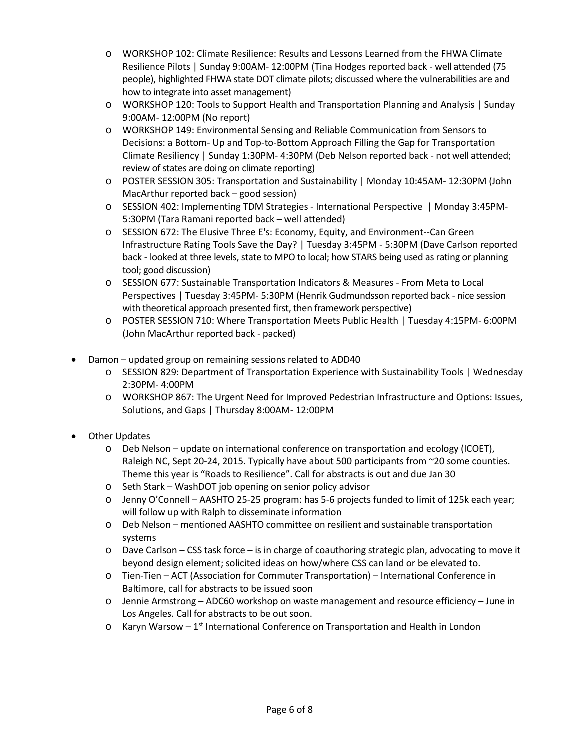- o WORKSHOP 102: Climate Resilience: Results and Lessons Learned from the FHWA Climate Resilience Pilots | Sunday 9:00AM- 12:00PM (Tina Hodges reported back - well attended (75 people), highlighted FHWA state DOT climate pilots; discussed where the vulnerabilities are and how to integrate into asset management)
- o WORKSHOP 120: Tools to Support Health and Transportation Planning and Analysis | Sunday 9:00AM- 12:00PM (No report)
- o WORKSHOP 149: Environmental Sensing and Reliable Communication from Sensors to Decisions: a Bottom- Up and Top-to-Bottom Approach Filling the Gap for Transportation Climate Resiliency | Sunday 1:30PM- 4:30PM (Deb Nelson reported back - not well attended; review of states are doing on climate reporting)
- o POSTER SESSION 305: Transportation and Sustainability | Monday 10:45AM- 12:30PM (John MacArthur reported back – good session)
- o SESSION 402: Implementing TDM Strategies International Perspective | Monday 3:45PM-5:30PM (Tara Ramani reported back – well attended)
- o SESSION 672: The Elusive Three E's: Economy, Equity, and Environment--Can Green Infrastructure Rating Tools Save the Day? | Tuesday 3:45PM - 5:30PM (Dave Carlson reported back - looked at three levels, state to MPO to local; how STARS being used as rating or planning tool; good discussion)
- o SESSION 677: Sustainable Transportation Indicators & Measures From Meta to Local Perspectives | Tuesday 3:45PM- 5:30PM (Henrik Gudmundsson reported back - nice session with theoretical approach presented first, then framework perspective)
- o POSTER SESSION 710: Where Transportation Meets Public Health | Tuesday 4:15PM- 6:00PM (John MacArthur reported back - packed)
- Damon updated group on remaining sessions related to ADD40
	- o SESSION 829: Department of Transportation Experience with Sustainability Tools | Wednesday 2:30PM- 4:00PM
	- o WORKSHOP 867: The Urgent Need for Improved Pedestrian Infrastructure and Options: Issues, Solutions, and Gaps | Thursday 8:00AM- 12:00PM
- **Other Updates** 
	- $\circ$  Deb Nelson update on international conference on transportation and ecology (ICOET), Raleigh NC, Sept 20-24, 2015. Typically have about 500 participants from ~20 some counties. Theme this year is "Roads to Resilience". Call for abstracts is out and due Jan 30
	- o Seth Stark WashDOT job opening on senior policy advisor
	- o Jenny O'Connell AASHTO 25-25 program: has 5-6 projects funded to limit of 125k each year; will follow up with Ralph to disseminate information
	- o Deb Nelson mentioned AASHTO committee on resilient and sustainable transportation systems
	- o Dave Carlson CSS task force is in charge of coauthoring strategic plan, advocating to move it beyond design element; solicited ideas on how/where CSS can land or be elevated to.
	- o Tien-Tien ACT (Association for Commuter Transportation) International Conference in Baltimore, call for abstracts to be issued soon
	- o Jennie Armstrong ADC60 workshop on waste management and resource efficiency June in Los Angeles. Call for abstracts to be out soon.
	- $\circ$  Karyn Warsow 1<sup>st</sup> International Conference on Transportation and Health in London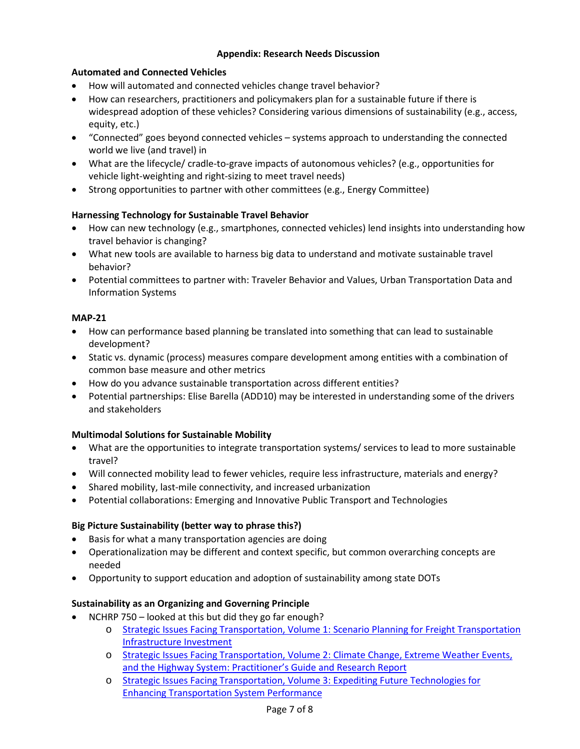### **Appendix: Research Needs Discussion**

# **Automated and Connected Vehicles**

- How will automated and connected vehicles change travel behavior?
- How can researchers, practitioners and policymakers plan for a sustainable future if there is widespread adoption of these vehicles? Considering various dimensions of sustainability (e.g., access, equity, etc.)
- "Connected" goes beyond connected vehicles systems approach to understanding the connected world we live (and travel) in
- What are the lifecycle/ cradle-to-grave impacts of autonomous vehicles? (e.g., opportunities for vehicle light-weighting and right-sizing to meet travel needs)
- Strong opportunities to partner with other committees (e.g., Energy Committee)

# **Harnessing Technology for Sustainable Travel Behavior**

- How can new technology (e.g., smartphones, connected vehicles) lend insights into understanding how travel behavior is changing?
- What new tools are available to harness big data to understand and motivate sustainable travel behavior?
- Potential committees to partner with: Traveler Behavior and Values, Urban Transportation Data and Information Systems

### **MAP-21**

- How can performance based planning be translated into something that can lead to sustainable development?
- Static vs. dynamic (process) measures compare development among entities with a combination of common base measure and other metrics
- How do you advance sustainable transportation across different entities?
- Potential partnerships: Elise Barella (ADD10) may be interested in understanding some of the drivers and stakeholders

#### **Multimodal Solutions for Sustainable Mobility**

- What are the opportunities to integrate transportation systems/ services to lead to more sustainable travel?
- Will connected mobility lead to fewer vehicles, require less infrastructure, materials and energy?
- Shared mobility, last-mile connectivity, and increased urbanization
- Potential collaborations: Emerging and Innovative Public Transport and Technologies

#### **Big Picture Sustainability (better way to phrase this?)**

- Basis for what a many transportation agencies are doing
- Operationalization may be different and context specific, but common overarching concepts are needed
- Opportunity to support education and adoption of sustainability among state DOTs

#### **Sustainability as an Organizing and Governing Principle**

- NCHRP 750 looked at this but did they go far enough?
	- o [Strategic Issues Facing Transportation, Volume 1: Scenario Planning for Freight Transportation](http://www.trb.org/Publications/Blurbs/168694.aspx)  [Infrastructure Investment](http://www.trb.org/Publications/Blurbs/168694.aspx)
	- o [Strategic Issues Facing Transportation, Volume 2: Climate Change, Extreme Weather Events,](http://www.trb.org/Publications/Blurbs/169781.aspx)  [and the Highway System: Practitioner's Guide and Research Report](http://www.trb.org/Publications/Blurbs/169781.aspx)
	- o [Strategic Issues Facing Transportation, Volume 3: Expediting Future Technologies for](http://www.trb.org/Publications/Blurbs/170083.aspx)  [Enhancing Transportation System Performance](http://www.trb.org/Publications/Blurbs/170083.aspx)